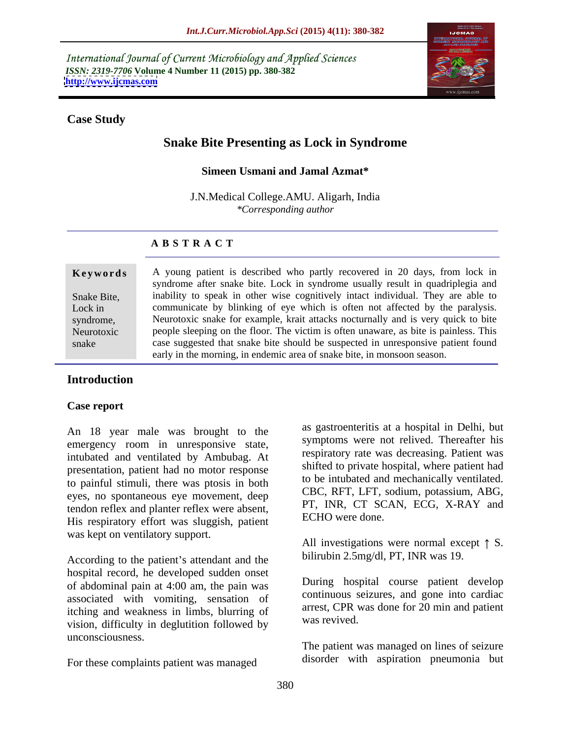International Journal of Current Microbiology and Applied Sciences *ISSN: 2319-7706* **Volume 4 Number 11 (2015) pp. 380-382 <http://www.ijcmas.com>**



### **Case Study**

# **Snake Bite Presenting as Lock in Syndrome**

### **Simeen Usmani and Jamal Azmat\***

J.N.Medical College.AMU. Aligarh, India *\*Corresponding author*

### **A B S T R A C T**

snake

**Keywords** A young patient is described who partly recovered in 20 days, from lock in syndrome after snake bite. Lock in syndrome usually result in quadriplegia and Snake Bite, inability to speak in other wise cognitively intact individual. They are able to Lock in communicate by blinking of eye which is often not affected by the paralysis. syndrome, Neurotoxic snake for example, krait attacks nocturnally and is very quick to bite people sleeping on the floor. The victim is often unaware, as bite is painless. This Neurotoxic case suggested that snake bite should be suspected in unresponsive patient found early in the morning, in endemic area of snake bite, in monsoon season.

### **Introduction**

#### **Case report**

An 18 year male was brought to the emergency room in unresponsive state, intubated and ventilated by Ambubag. At presentation, patient had no motor response to painful stimuli, there was ptosis in both eyes, no spontaneous eye movement, deep tendon reflex and planter reflex were absent, His respiratory effort was sluggish, patient was kept on ventilatory support.

According to the patient's attendant and the hospital record, he developed sudden onset of abdominal pain at 4:00 am, the pain was associated with vomiting, sensation of itching and weakness in limbs, blurring of arrest, CPR v vision, difficulty in deglutition followed by unconsciousness.

For these complaints patient was managed

as gastroenteritis at a hospital in Delhi, but symptoms were not relived. Thereafter his respiratory rate was decreasing. Patient was shifted to private hospital, where patient had to be intubated and mechanically ventilated. CBC, RFT, LFT, sodium, potassium, ABG, PT, INR, CT SCAN, ECG, X-RAY and ECHO were done.

All investigations were normal except  $\uparrow$  S. bilirubin 2.5mg/dl, PT, INR was 19.

During hospital course patient develop continuous seizures, and gone into cardiac arrest, CPR was done for 20 min and patient was revived.

The patient was managed on lines of seizure disorder with aspiration pneumonia but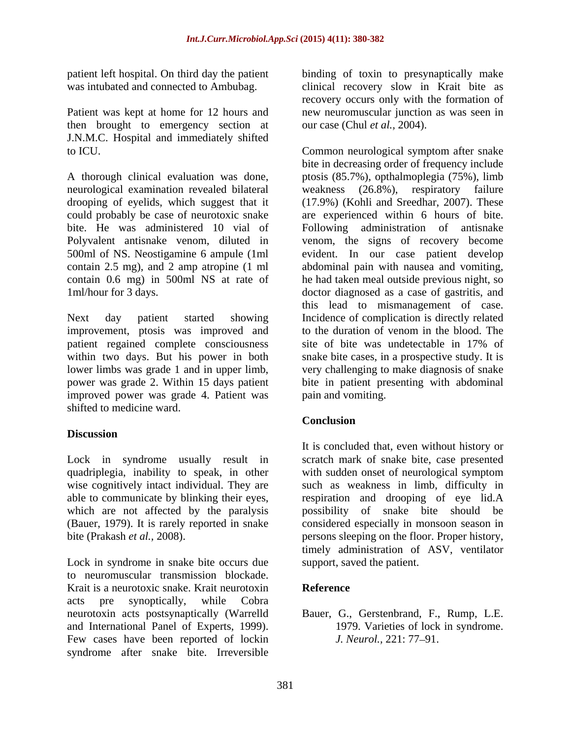patient left hospital. On third day the patient

Patient was kept at home for 12 hours and then brought to emergency section at J.N.M.C. Hospital and immediately shifted

A thorough clinical evaluation was done, ptosis (85.7%), opthalmoplegia (75%), limb neurological examination revealed bilateral weakness (26.8%), respiratory failure drooping of eyelids, which suggest that it (17.9%) (Kohli and Sreedhar, 2007). These could probably be case of neurotoxic snake are experienced within 6 hours of bite. bite. He was administered 10 vial of Following administration of antisnake Polyvalent antisnake venom, diluted in venom, the signs of recovery become 500ml of NS. Neostigamine 6 ampule (1ml evident. In our case patient develop contain 2.5 mg), and 2 amp atropine (1 ml abdominal pain with nausea and vomiting, contain 0.6 mg) in 500ml NS at rate of he had taken meal outside previous night, so 1ml/hour for 3 days. doctor diagnosed as a case of gastritis, and

Next day patient started showing Incidence of complication is directly related improvement, ptosis was improved and patient regained complete consciousness site of bite was undetectable in 17% of improved power was grade 4. Patient was shifted to medicine ward.

# **Discussion**

Lock in syndrome in snake bite occurs due to neuromuscular transmission blockade. Krait is a neurotoxic snake. Krait neurotoxin acts pre synoptically, while Cobra neurotoxin acts postsynaptically (Warrelld and International Panel of Experts, 1999). <br>
Few cases have been reported of lockin *J. Neurol.*, 221: 77–91. syndrome after snake bite. Irreversible

was intubated and connected to Ambubag. Clinical recovery slow in Krait bite as binding of toxin to presynaptically make recovery occurs only with the formation of new neuromuscular junction as was seen in our case (Chul *et al.,* 2004).

to ICU. Common neurological symptom after snake within two days. But his power in both snake bite cases, in a prospective study. It is lower limbs was grade 1 and in upper limb, very challenging to make diagnosis of snake power was grade 2. Within 15 days patient bite in patient presenting with abdominal bite in decreasing order of frequency include this lead to mismanagement of case.Incidence of complication is directly related to the duration of venom in the blood. The site of bite was undetectable in 17% of pain and vomiting.

# **Conclusion**

Lock in syndrome usually result in scratch mark of snake bite, case presented quadriplegia, inability to speak, in other with sudden onset of neurological symptom wise cognitively intact individual. They are such as weakness in limb, difficulty in able to communicate by blinking their eyes, respiration and drooping of eye lid.A which are not affected by the paralysis possibility of snake bite should be (Bauer, 1979). It is rarely reported in snake considered especially in monsoon season in bite (Prakash *et al.*, 2008). **persons sleeping on the floor.** Proper history, It is concluded that, even without history or timely administration of ASV, ventilator support, saved the patient.

### **Reference**

Bauer, G., Gerstenbrand, F., Rump, L.E. 1979. Varieties of lock in syndrome. *J. Neurol.,* 221: 77–91.